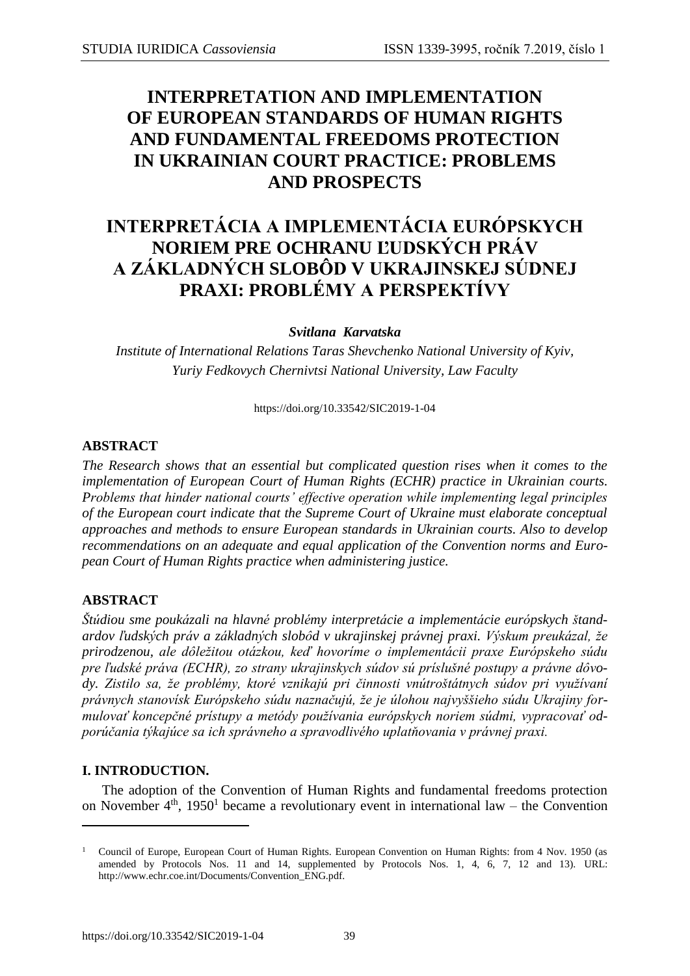## **INTERPRETATION AND IMPLEMENTATION OF EUROPEAN STANDARDS OF HUMAN RIGHTS AND FUNDAMENTAL FREEDOMS PROTECTION IN UKRAINIAN COURT PRACTICE: PROBLEMS AND PROSPECTS**

# **INTERPRETÁCIA A IMPLEMENTÁCIA EURÓPSKYCH NORIEM PRE OCHRANU ĽUDSKÝCH PRÁV A ZÁKLADNÝCH SLOBÔD V UKRAJINSKEJ SÚDNEJ PRAXI: PROBLÉMY A PERSPEKTÍVY**

*Svitlana Karvatska*

*Institute of International Relations Taras Shevchenko National University of Kyiv, Yuriy Fedkovych Chernivtsi National University, Law Faculty*

<https://doi.org/10.33542/SIC2019-1-04>

#### **ABSTRACT**

*The Research shows that an essential but complicated question rises when it comes to the implementation of European Court of Human Rights (ECHR) practice in Ukrainian courts. Problems that hinder national courts' effective operation while implementing legal principles of the European court indicate that the Supreme Court of Ukraine must elaborate conceptual approaches and methods to ensure European standards in Ukrainian courts. Also to develop recommendations on an adequate and equal application of the Convention norms and European Court of Human Rights practice when administering justice.*

## **ABSTRACT**

*Štúdiou sme poukázali na hlavné problémy interpretácie a implementácie európskych štandardov ľudských práv a základných slobôd v ukrajinskej právnej praxi. Výskum preukázal, že prirodzenou, ale dôležitou otázkou, keď hovoríme o implementácii praxe Európskeho súdu pre ľudské práva (ECHR), zo strany ukrajinskych súdov sú príslušné postupy a právne dôvody. Zistilo sa, že problémy, ktoré vznikajú pri činnosti vnútroštátnych súdov pri využívaní právnych stanovísk Európskeho súdu naznačujú, že je úlohou najvyššieho súdu Ukrajiny formulovať koncepčné prístupy a metódy používania európskych noriem súdmi, vypracovať odporúčania týkajúce sa ich správneho a spravodlivého uplatňovania v právnej praxi.*

## **I. INTRODUCTION.**

 $\overline{a}$ 

The adoption of the Convention of Human Rights and fundamental freedoms protection on November  $4<sup>th</sup>$ , 1950<sup>1</sup> became a revolutionary event in international law – the Convention

<sup>1</sup> Council of Europe, European Court of Human Rights. European Convention on Human Rights: from 4 Nov. 1950 (as amended by Protocols Nos. 11 and 14, supplemented by Protocols Nos. 1, 4, 6, 7, 12 and 13). URL: http://www.echr.coe.int/Documents/Convention\_ENG.pdf.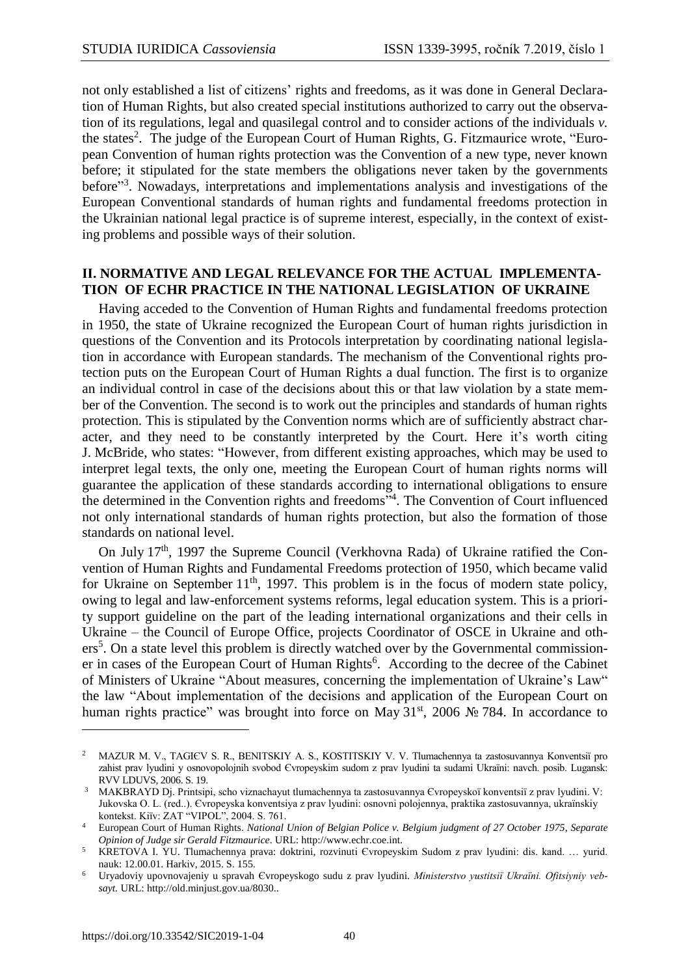not only established a list of citizens' rights and freedoms, as it was done in General Declaration of Human Rights, but also created special institutions authorized to carry out the observation of its regulations, legal and quasilegal control and to consider actions of the individuals *v.* the states<sup>2</sup>. The judge of the European Court of Human Rights, G. Fitzmaurice wrote, "European Convention of human rights protection was the Convention of a new type, never known before; it stipulated for the state members the obligations never taken by the governments before"<sup>3</sup>. Nowadays, interpretations and implementations analysis and investigations of the European Conventional standards of human rights and fundamental freedoms protection in the Ukrainian national legal practice is of supreme interest, especially, in the context of existing problems and possible ways of their solution.

#### **ІІ. NORMATIVE AND LEGAL RELEVANCE FOR THE ACTUAL IMPLEMENTA-TION OF ECHR PRACTICE IN THE NATIONAL LEGISLATION OF UKRAINE**

Having acceded to the Convention of Human Rights and fundamental freedoms protection in 1950, the state of Ukraine recognized the European Court of human rights jurisdiction in questions of the Convention and its Protocols interpretation by coordinating national legislation in accordance with European standards. The mechanism of the Conventional rights protection puts on the European Court of Human Rights a dual function. The first is to organize an individual control in case of the decisions about this or that law violation by a state member of the Convention. The second is to work out the principles and standards of human rights protection. This is stipulated by the Convention norms which are of sufficiently abstract character, and they need to be constantly interpreted by the Court. Here it's worth citing J. McBride, who states: "However, from different existing approaches, which may be used to interpret legal texts, the only one, meeting the European Court of human rights norms will guarantee the application of these standards according to international obligations to ensure the determined in the Convention rights and freedoms"<sup>4</sup>. The Convention of Court influenced not only international standards of human rights protection, but also the formation of those standards on national level.

On July 17<sup>th</sup>, 1997 the Supreme Council (Verkhovna Rada) of Ukraine ratified the Convention of Human Rights and Fundamental Freedoms protection of 1950, which became valid for Ukraine on September  $11<sup>th</sup>$ , 1997. This problem is in the focus of modern state policy, owing to legal and law-enforcement systems reforms, legal education system. This is a priority support guideline on the part of the leading international organizations and their cells in Ukraine – the Council of Europe Office, projects Coordinator of OSCE in Ukraine and others<sup>5</sup>. On a state level this problem is directly watched over by the Governmental commissioner in cases of the European Court of Human Rights<sup>6</sup>. According to the decree of the Cabinet of Ministers of Ukraine "About measures, concerning the implementation of Ukraine's Law" the law "About implementation of the decisions and application of the European Court on human rights practice" was brought into force on May  $31<sup>st</sup>$ , 2006 № 784. In accordance to

 $\overline{a}$ 

<sup>2</sup> MAZUR M. V., TAGІЄV S. R., BENІTSKIY A. S., KOSTITSKIY V. V. Tlumachennya ta zastosuvannya Konventsії pro zahist prav lyudini y osnovopolojnih svobod Єvropeyskim sudom z prav lyudini ta sudami Ukraїni: navch. posіb. Lugansk: RVV LDUVS, 2006. S. 19.

<sup>&</sup>lt;sup>3</sup> MAKBRAYD Dj. Printsipi, scho viznachayut tlumachennya ta zastosuvannya Evropeyskoï konventsiï z prav lyudini. V: Jukovska O. L. (red..). Єvropeyska konventsіya z prav lyudini: osnovnі polojennya, praktika zastosuvannya, ukraїnskiy kontekst. Kiїv: ZAT "VІPOL", 2004. S. 761.

<sup>4</sup> European Court of Human Rights. *National Union of Belgian Police v. Belgium judgment of 27 October 1975, Separate Opinion of Judge sir Gerald Fitzmaurice*. URL: http://www.echr.coe.int.

<sup>5</sup> KRETOVA І. YU. Tlumachennya prava: doktrini, rozvinutі Єvropeyskim Sudom z prav lyudini: dis. kand. … yurid. nauk: 12.00.01. Harkіv, 2015. S. 155.

<sup>6</sup> Uryadoviy upovnovajeniy u spravah Єvropeyskogo sudu z prav lyudini. *Mіnіsterstvo yustitsії Ukraїni. Ofіtsіyniy vebsayt.* URL: http://old.minjust.gov.ua/8030..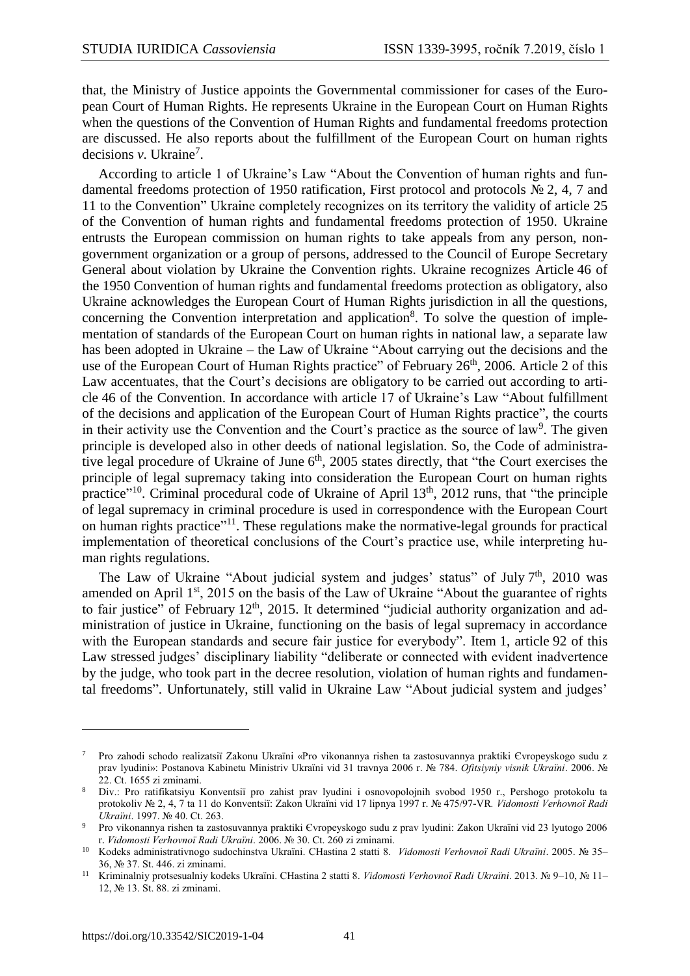that, the Ministry of Justice appoints the Governmental commissioner for cases of the European Court of Human Rights. He represents Ukraine in the European Court on Human Rights when the questions of the Convention of Human Rights and fundamental freedoms protection are discussed. He also reports about the fulfillment of the European Court on human rights decisions *v*. Ukraine<sup>7</sup>.

According to article 1 of Ukraine's Law "About the Convention of human rights and fundamental freedoms protection of 1950 ratification, First protocol and protocols № 2, 4, 7 and 11 to the Convention" Ukraine completely recognizes on its territory the validity of article 25 of the Convention of human rights and fundamental freedoms protection of 1950. Ukraine entrusts the European commission on human rights to take appeals from any person, nongovernment organization or a group of persons, addressed to the Council of Europe Secretary General about violation by Ukraine the Convention rights. Ukraine recognizes Article 46 of the 1950 Convention of human rights and fundamental freedoms protection as obligatory, also Ukraine acknowledges the European Court of Human Rights jurisdiction in all the questions, concerning the Convention interpretation and application<sup>8</sup>. To solve the question of implementation of standards of the European Court on human rights in national law, a separate law has been adopted in Ukraine – the Law of Ukraine "About carrying out the decisions and the use of the European Court of Human Rights practice" of February 26<sup>th</sup>, 2006. Article 2 of this Law accentuates, that the Court's decisions are obligatory to be carried out according to article 46 of the Convention. In accordance with article 17 of Ukraine's Law "About fulfillment of the decisions and application of the European Court of Human Rights practice", the courts in their activity use the Convention and the Court's practice as the source of law<sup>9</sup>. The given principle is developed also in other deeds of national legislation. So, the Code of administrative legal procedure of Ukraine of June 6<sup>th</sup>, 2005 states directly, that "the Court exercises the principle of legal supremacy taking into consideration the European Court on human rights practice"<sup>10</sup>. Criminal procedural code of Ukraine of April 13<sup>th</sup>, 2012 runs, that "the principle of legal supremacy in criminal procedure is used in correspondence with the European Court on human rights practice"<sup>11</sup>. These regulations make the normative-legal grounds for practical implementation of theoretical conclusions of the Court's practice use, while interpreting human rights regulations.

The Law of Ukraine "About judicial system and judges' status" of July 7<sup>th</sup>, 2010 was amended on April 1<sup>st</sup>, 2015 on the basis of the Law of Ukraine "About the guarantee of rights to fair justice" of February  $12<sup>th</sup>$ , 2015. It determined "judicial authority organization and administration of justice in Ukraine, functioning on the basis of legal supremacy in accordance with the European standards and secure fair justice for everybody". Item 1, article 92 of this Law stressed judges' disciplinary liability "deliberate or connected with evident inadvertence by the judge, who took part in the decree resolution, violation of human rights and fundamental freedoms". Unfortunately, still valid in Ukraine Law "About judicial system and judges'

 $\overline{a}$ 

<sup>7</sup> Pro zahodi schodo realіzatsії Zakonu Ukraїni «Pro vikonannya rіshen ta zastosuvannya praktiki Єvropeyskogo sudu z prav lyudini»: Postanova Kabіnetu Mіnіstrіv Ukraїni vіd 31 travnya 2006 r. № 784. *Ofіtsіyniy vіsnik Ukraїni*. 2006. № 22. Ct. 1655 zі zmіnami.

<sup>8</sup> Div.: Pro ratifіkatsіyu Konventsії pro zahist prav lyudini і osnovopolojnih svobod 1950 r., Pershogo protokolu ta protokolіv № 2, 4, 7 ta 11 do Konventsії: Zakon Ukraїni vіd 17 lipnya 1997 r. № 475/97-VR*. Vіdomostі Verhovnoї Radi Ukraїni*. 1997. № 40. Ct. 263.

<sup>9</sup> Pro vikonannya rіshen ta zastosuvannya praktiki Єvropeyskogo sudu z prav lyudini: Zakon Ukraїni vіd 23 lyutogo 2006 r. *Vіdomostі Verhovnoї Radi Ukraїni*. 2006. № 30. Ct. 260 zі zmіnami.

<sup>10</sup> Kodeks admіnіstrativnogo sudochinstva Ukraїni. CHastina 2 stattі 8. *Vіdomostі Verhovnoї Radi Ukraїni*. 2005. № 35– 36, № 37. St. 446. zі zmіnami.

<sup>11</sup> Krimіnalniy protsesualniy kodeks Ukraїni. CHastina 2 stattі 8. *Vіdomostі Verhovnoї Radi Ukraїni*. 2013. № 9–10, № 11– 12, № 13. St. 88. zі zmіnami.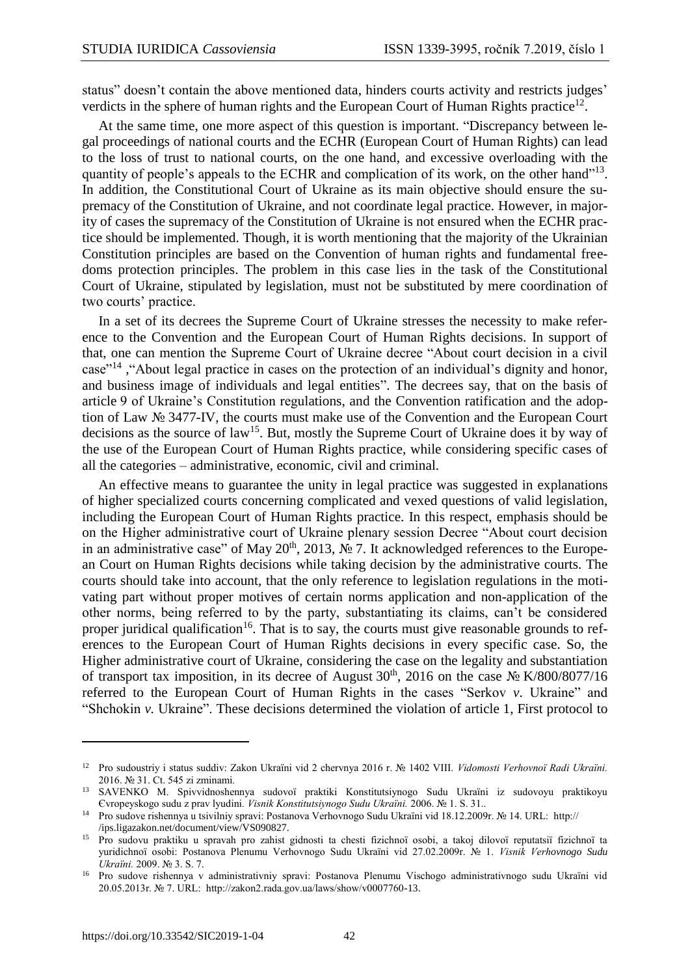status" doesn't contain the above mentioned data, hinders courts activity and restricts judges' verdicts in the sphere of human rights and the European Court of Human Rights practice<sup>12</sup>.

At the same time, one more aspect of this question is important. "Discrepancy between legal proceedings of national courts and the ECHR (European Court of Human Rights) can lead to the loss of trust to national courts, on the one hand, and excessive overloading with the quantity of people's appeals to the ECHR and complication of its work, on the other hand"<sup>13</sup>. In addition, the Constitutional Court of Ukraine as its main objective should ensure the supremacy of the Constitution of Ukraine, and not coordinate legal practice. However, in majority of cases the supremacy of the Constitution of Ukraine is not ensured when the ECHR practice should be implemented. Though, it is worth mentioning that the majority of the Ukrainian Constitution principles are based on the Convention of human rights and fundamental freedoms protection principles. The problem in this case lies in the task of the Constitutional Court of Ukraine, stipulated by legislation, must not be substituted by mere coordination of two courts' practice.

In a set of its decrees the Supreme Court of Ukraine stresses the necessity to make reference to the Convention and the European Court of Human Rights decisions. In support of that, one can mention the Supreme Court of Ukraine decree "About court decision in a civil case"<sup>14</sup>, "About legal practice in cases on the protection of an individual's dignity and honor, and business image of individuals and legal entities". The decrees say, that on the basis of article 9 of Ukraine's Constitution regulations, and the Convention ratification and the adoption of Law № 3477-IV, the courts must make use of the Convention and the European Court decisions as the source of law<sup>15</sup>. But, mostly the Supreme Court of Ukraine does it by way of the use of the European Court of Human Rights practice, while considering specific cases of all the categories – administrative, economic, civil and criminal.

An effective means to guarantee the unity in legal practice was suggested in explanations of higher specialized courts concerning complicated and vexed questions of valid legislation, including the European Court of Human Rights practice. In this respect, emphasis should be on the Higher administrative court of Ukraine plenary session Decree "About court decision in an administrative case" of May  $20<sup>th</sup>$ ,  $2013$ ,  $\mathcal{N}$ <sup>o</sup> 7. It acknowledged references to the European Court on Human Rights decisions while taking decision by the administrative courts. The courts should take into account, that the only reference to legislation regulations in the motivating part without proper motives of certain norms application and non-application of the other norms, being referred to by the party, substantiating its claims, can't be considered proper juridical qualification<sup>16</sup>. That is to say, the courts must give reasonable grounds to references to the European Court of Human Rights decisions in every specific case. So, the Higher administrative court of Ukraine, considering the case on the legality and substantiation of transport tax imposition, in its decree of August  $30<sup>th</sup>$ , 2016 on the case  $N<sub>2</sub> K/800/8077/16$ referred to the European Court of Human Rights in the cases "Serkov *v*. Ukraine" and "Shchokin *v.* Ukraine". These decisions determined the violation of article 1, First protocol to

 $\overline{\phantom{a}}$ 

<sup>12</sup> Pro sudoustrіy і status suddіv: Zakon Ukraїni vіd 2 chervnya 2016 r. № 1402 VIII. *Vіdomostі Verhovnoї Radi Ukraїni.* 2016. № 31. Ct. 545 zі zmіnami.

<sup>13</sup> SAVENKO M. Spіvvіdnoshennya sudovoї praktiki Konstitutsіynogo Sudu Ukraїni іz sudovoyu praktikoyu Єvropeyskogo sudu z prav lyudini*. Vіsnik Konstitutsіynogo Sudu Ukraїni.* 2006. № 1. S. 31..

<sup>14</sup> Pro sudove rіshennya u tsivіlnіy spravі: Postanova Verhovnogo Sudu Ukraїni vіd 18.12.2009r. № 14. URL: http:// /ips.ligazakon.net/document/view/VS090827.

<sup>15</sup> Pro sudovu praktiku u spravah pro zahist gіdnostі ta chestі fіzichnoї osobi, a takoj dіlovoї reputatsії fіzichnoї ta yuridichnoї osobi: Postanova Plenumu Verhovnogo Sudu Ukraїni vіd 27.02.2009r. № 1. *Vіsnik Verhovnogo Sudu Ukraїni.* 2009. № 3. S. 7.

<sup>16</sup> Pro sudove rіshennya v admіnіstrativnіy spravі: Postanova Plenumu Vischogo admіnіstrativnogo sudu Ukraїni vіd 20.05.2013r. № 7. URL: http://zakon2.rada.gov.ua/laws/show/v0007760-13.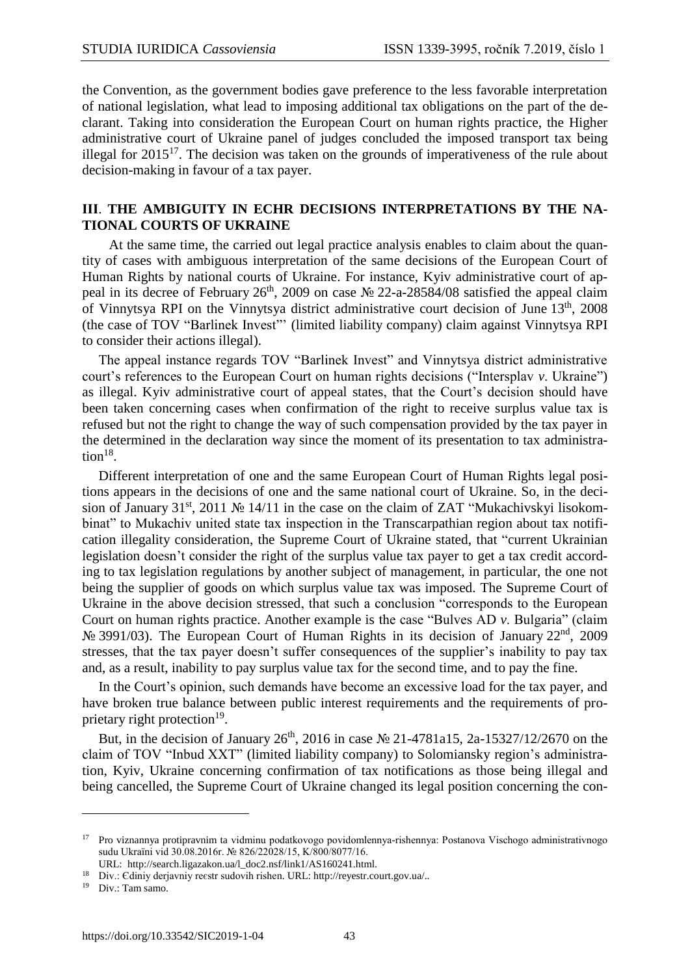the Convention, as the government bodies gave preference to the less favorable interpretation of national legislation, what lead to imposing additional tax obligations on the part of the declarant. Taking into consideration the European Court on human rights practice, the Higher administrative court of Ukraine panel of judges concluded the imposed transport tax being illegal for  $2015^{17}$ . The decision was taken on the grounds of imperativeness of the rule about decision-making in favour of a tax payer.

#### **ІІІ**. **THE AMBIGUITY IN ECHR DECISIONS INTERPRETATIONS BY THE NA-TIONAL COURTS OF UKRAINE**

 At the same time, the carried out legal practice analysis enables to claim about the quantity of cases with ambiguous interpretation of the same decisions of the European Court of Human Rights by national courts of Ukraine. For instance, Kyiv administrative court of appeal in its decree of February  $26<sup>th</sup>$ , 2009 on case  $N<sub>2</sub>$  22-a-28584/08 satisfied the appeal claim of Vinnytsya RPI on the Vinnytsya district administrative court decision of June 13<sup>th</sup>, 2008 (the case of TOV "Barlinek Invest"' [\(limited liability company\)](https://www.multitran.ru/c/m.exe?t=7418784_2_1&s1=LLC) claim against Vinnytsya RPI to consider their actions illegal).

The appeal instance regards TOV "Barlinek Invest" and Vinnytsya district administrative court's references to the European Court on human rights decisions ("Intersplav *v*. Ukraine") as illegal. Kyiv administrative court of appeal states, that the Court's decision should have been taken concerning cases when confirmation of the right to receive surplus value tax is refused but not the right to change the way of such compensation provided by the tax payer in the determined in the declaration way since the moment of its presentation to tax administration $^{18}$ .

Different interpretation of one and the same European Court of Human Rights legal positions appears in the decisions of one and the same national court of Ukraine. So, in the decision of January 31<sup>st</sup>, 2011 № 14/11 in the case on the claim of ZAT "Mukachivskyi lisokombinat" to Mukachiv united state tax inspection in the Transcarpathian region about tax notification illegality consideration, the Supreme Court of Ukraine stated, that "current Ukrainian legislation doesn't consider the right of the surplus value tax payer to get a tax credit according to tax legislation regulations by another subject of management, in particular, the one not being the supplier of goods on which surplus value tax was imposed. The Supreme Court of Ukraine in the above decision stressed, that such a conclusion "corresponds to the European Court on human rights practice. Another example is the case "Bulves AD *v*. Bulgaria" (claim No 3991/03). The European Court of Human Rights in its decision of January 22<sup>nd</sup>, 2009 stresses, that the tax payer doesn't suffer consequences of the supplier's inability to pay tax and, as a result, inability to pay surplus value tax for the second time, and to pay the fine.

In the Court's opinion, such demands have become an excessive load for the tax payer, and have broken true balance between public interest requirements and the requirements of proprietary right protection<sup>19</sup>.

But, in the decision of January 26<sup>th</sup>, 2016 in case No 21-4781a15, 2a-15327/12/2670 on the claim of TOV "Inbud XXT" (limited liability company) to Solomiansky region's administration, Kyiv, Ukraine concerning confirmation of tax notifications as those being illegal and being cancelled, the Supreme Court of Ukraine changed its legal position concerning the con-

 $\overline{\phantom{a}}$ 

<sup>17</sup> Pro viznannya protipravnim ta vіdmіnu podatkovogo povіdomlennya-rіshennya: Postanova Vischogo admіnіstrativnogo sudu Ukraїni vіd 30.08.2016r. № 826/22028/15, K/800/8077/16.

URL: http://search.ligazakon.ua/l\_doc2.nsf/link1/AS160241.html.

<sup>18</sup> Div.: Єdiniy derjavniy reєstr sudovih rіshen. URL: http://reyestr.court.gov.ua/..

<sup>19</sup> Div.: Tam samo.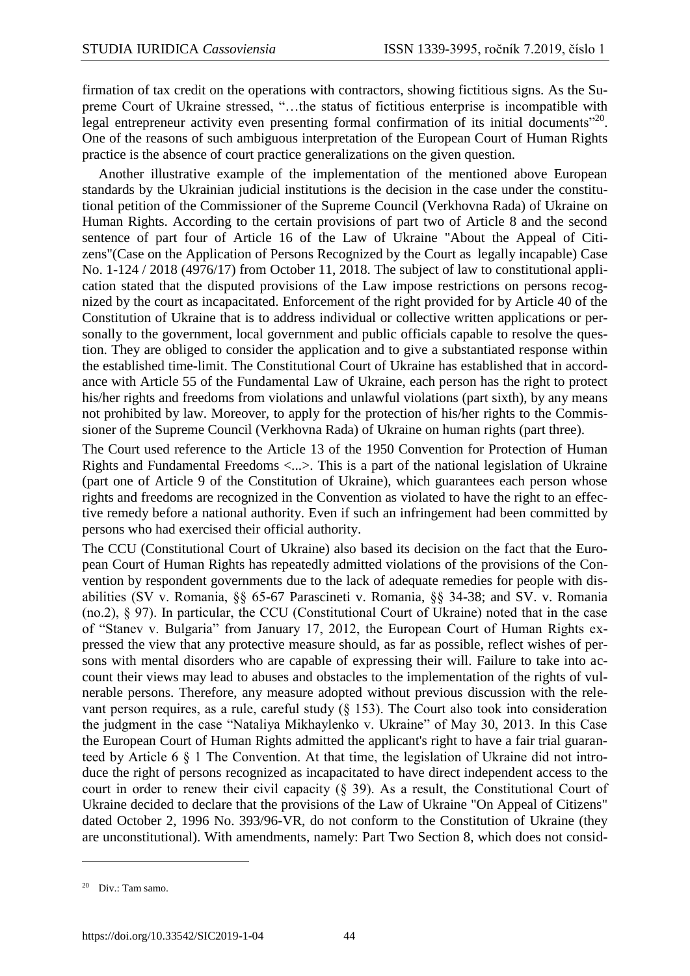firmation of tax credit on the operations with contractors, showing fictitious signs. As the Supreme Court of Ukraine stressed, "…the status of fictitious enterprise is incompatible with legal entrepreneur activity even presenting formal confirmation of its initial documents<sup>"20</sup>. One of the reasons of such ambiguous interpretation of the European Court of Human Rights practice is the absence of court practice generalizations on the given question.

Another illustrative example of the implementation of the mentioned above European standards by the Ukrainian judicial institutions is the decision in the case under the constitutional petition of the Commissioner of the Supreme Council (Verkhovna Rada) of Ukraine on Human Rights. According to the certain provisions of part two of Article 8 and the second sentence of part four of Article 16 of the Law of Ukraine "About the Appeal of Citizens"(Case on the Application of Persons Recognized by the Court as [legally incapable\)](https://www.multitran.ru/c/m.exe?t=888227_1_2&s1=%ED%E5%E4%E5%E5%F1%EF%EE%F1%EE%E1%ED%FB%E9) Case No. 1-124 / 2018 (4976/17) from October 11, 2018. The subject of law to constitutional application stated that the disputed provisions of the Law impose restrictions on persons recognized by the court as incapacitated. [Enforcement of the right](https://www.multitran.ru/c/m.exe?t=4916741_1_2) provided for by Article 40 of the Constitution of Ukraine that is to address individual or collective written applications or personally to the government, local government and public officials capable to resolve the question. They are obliged to consider the application and to give a substantiated response within the established time-limit. The Constitutional Court of Ukraine has established that in accordance with Article 55 of the Fundamental Law of Ukraine, each person has the right to protect his/her rights and freedoms from violations and unlawful violations (part sixth), by any means not prohibited by law. Moreover, to apply for the protection of his/her rights to the Commissioner of the Supreme Council (Verkhovna Rada) of Ukraine on human rights (part three).

The Court used reference to the Article 13 of the 1950 Convention for Protection of Human Rights and Fundamental Freedoms <...>. This is a part of the national legislation of Ukraine (part one of Article 9 of the Constitution of Ukraine), which guarantees each person whose rights and freedoms are recognized in the Convention as violated to have the right to an effective remedy before a national authority. Even if such an infringement had been committed by persons who had exercised their official authority.

The CCU (Constitutional Court of Ukraine) also based its decision on the fact that the European Court of Human Rights has repeatedly admitted violations of the provisions of the Convention by respondent governments due to the lack of adequate remedies for people with disabilities (SV v. Romania, §§ 65-67 Parascineti v. Romania, §§ 34-38; and SV. v. Romania (no.2), § 97). In particular, the CCU (Constitutional Court of Ukraine) noted that in the case of "Stanev v. Bulgaria" from January 17, 2012, the European Court of Human Rights expressed the view that any protective measure should, as far as possible, reflect wishes of persons with mental disorders who are capable of expressing their will. Failure to take into account their views may lead to abuses and obstacles to the implementation of the rights of vulnerable persons. Therefore, any measure adopted without previous discussion with the relevant person requires, as a rule, careful study (§ 153). The Court also took into consideration the judgment in the case "Nataliya Mikhaylenko v. Ukraine" of May 30, 2013. In this Case the European Court of Human Rights admitted the applicant's right to have a fair trial guaranteed by Article 6 § 1 The Convention. At that time, the legislation of Ukraine did not introduce the right of persons recognized as incapacitated to have direct independent access to the court in order to renew their civil capacity (§ 39). As a result, the Constitutional Court of Ukraine decided to declare that the provisions of the Law of Ukraine "On Appeal of Citizens" dated October 2, 1996 No. 393/96-VR, do not conform to the Constitution of Ukraine (they are unconstitutional). With amendments, namely: Part Two Section 8, which does not consid-

 $\overline{\phantom{a}}$ 

<sup>20</sup> Div.: Tam samo.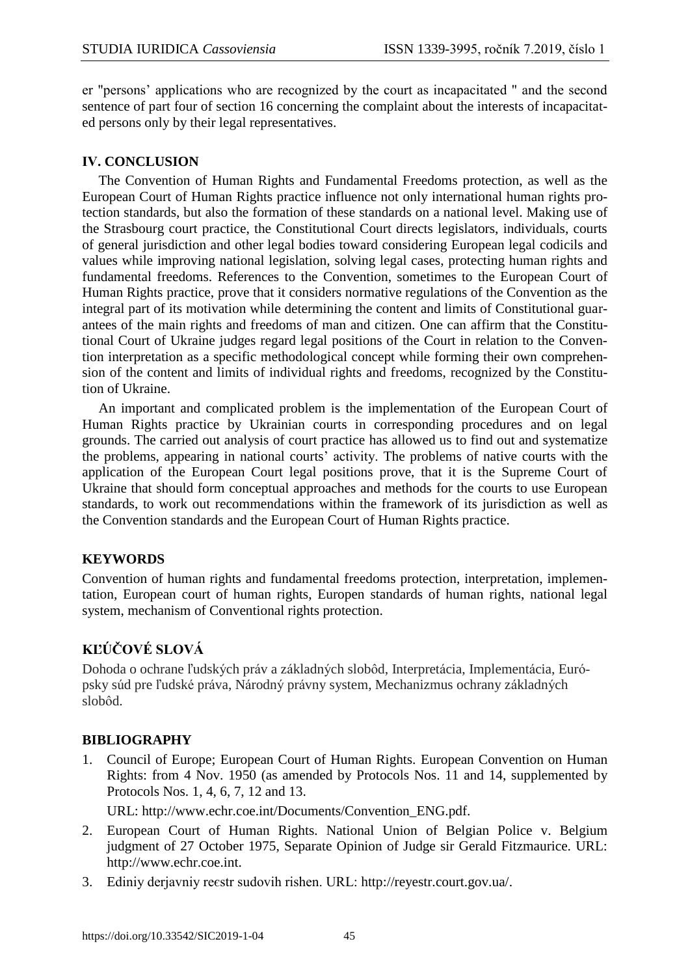er "persons' applications who are recognized by the court as incapacitated " and the second sentence of part four of section 16 concerning the complaint about the interests of incapacitated persons only by their legal representatives.

#### **ІV. CONCLUSION**

The Convention of Human Rights and Fundamental Freedoms protection, as well as the European Court of Human Rights practice influence not only international human rights protection standards, but also the formation of these standards on a national level. Making use of the Strasbourg court practice, the Constitutional Court directs legislators, individuals, courts of general jurisdiction and other legal bodies toward considering European legal codicils and values while improving national legislation, solving legal cases, protecting human rights and fundamental freedoms. References to the Convention, sometimes to the European Court of Human Rights practice, prove that it considers normative regulations of the Convention as the integral part of its motivation while determining the content and limits of Constitutional guarantees of the main rights and freedoms of man and citizen. One can affirm that the Constitutional Court of Ukraine judges regard legal positions of the Court in relation to the Convention interpretation as a specific methodological concept while forming their own comprehension of the content and limits of individual rights and freedoms, recognized by the Constitution of Ukraine.

An important and complicated problem is the implementation of the European Court of Human Rights practice by Ukrainian courts in corresponding procedures and on legal grounds. The carried out analysis of court practice has allowed us to find out and systematize the problems, appearing in national courts' activity. The problems of native courts with the application of the European Court legal positions prove, that it is the Supreme Court of Ukraine that should form conceptual approaches and methods for the courts to use European standards, to work out recommendations within the framework of its jurisdiction as well as the Convention standards and the European Court of Human Rights practice.

## **KEYWORDS**

Convention of human rights and fundamental freedoms protection, interpretation, implementation, European court of human rights, Europen standards of human rights, national legal system, mechanism of Conventional rights protection.

## **KĽÚČOVÉ SLOVÁ**

Dohoda o ochrane ľudských práv a základných slobôd, Interpretácia, Implementácia, Európsky súd pre ľudské práva, Národný právny system, Mechanizmus ochrany základných slobôd.

#### **BIBLIOGRAPHY**

1. Council of Europe; European Court of Human Rights. European Convention on Human Rights: from 4 Nov. 1950 (as amended by Protocols Nos. 11 and 14, supplemented by Protocols Nos. 1, 4, 6, 7, 12 and 13.

URL: http://www.echr.coe.int/Documents/Convention\_ENG.pdf.

- 2. European Court of Human Rights. National Union of Belgian Police v. Belgium judgment of 27 October 1975, Separate Opinion of Judge sir Gerald Fitzmaurice. URL: http://www.echr.coe.int.
- 3. Ediniy derjavniy reєstr sudovih rіshen. URL: [http://reyestr.court.gov.ua/.](http://reyestr.court.gov.ua/)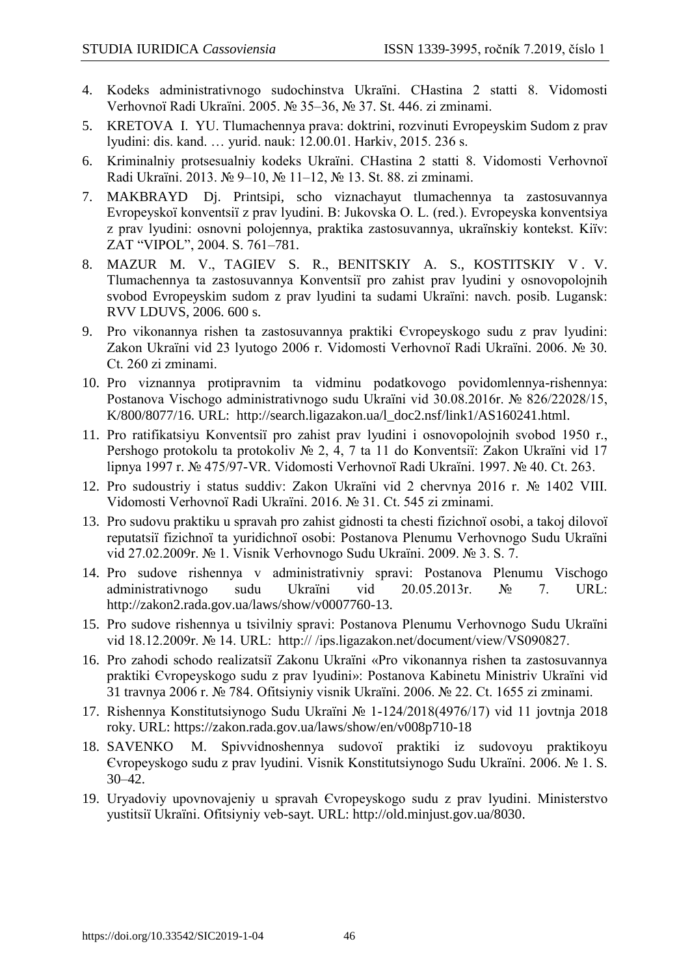- 4. Kodeks admіnіstrativnogo sudochinstva Ukraїni. CHastina 2 stattі 8. Vіdomostі Verhovnoї Radi Ukraїni. 2005. № 35–36, № 37. St. 446. zі zmіnami.
- 5. KRETOVA І. YU. Tlumachennya prava: doktrini, rozvinutі Evropeyskim Sudom z prav lyudini: dis. kand. … yurid. nauk: 12.00.01. Harkіv, 2015. 236 s.
- 6. Krimіnalniy protsesualniy kodeks Ukraїni. CHastina 2 stattі 8. Vіdomostі Verhovnoї Radi Ukraїni. 2013. № 9–10, № 11–12, № 13. St. 88. zі zmіnami.
- 7. MAKBRAYD Dj. Printsipi, scho viznachayut tlumachennya ta zastosuvannya Evropeyskoї konventsії z prav lyudini. B: Jukovska O. L. (red.). Evropeyska konventsіya z prav lyudini: osnovnі polojennya, praktika zastosuvannya, ukraїnskiy kontekst. Kiїv: ZAT "VІPOL", 2004. S. 761–781.
- 8. MAZUR M. V., TAGIEV S. R., BENITSKIY A. S., KOSTITSKIY V. V. Tlumachennya ta zastosuvannya Konventsії pro zahist prav lyudini y osnovopolojnih svobod Evropeyskim sudom z prav lyudini ta sudami Ukraїni: navch. posіb. Lugansk: RVV LDUVS, 2006. 600 s.
- 9. Pro vikonannya rіshen ta zastosuvannya praktiki Єvropeyskogo sudu z prav lyudini: Zakon Ukraїni vіd 23 lyutogo 2006 r. Vіdomostі Verhovnoї Radi Ukraїni. 2006. № 30. Ct. 260 zі zmіnami.
- 10. Pro viznannya protipravnim ta vіdmіnu podatkovogo povіdomlennya-rіshennya: Postanova Vischogo admіnіstrativnogo sudu Ukraїni vіd 30.08.2016r. № 826/22028/15, K/800/8077/16. URL: [http://search.ligazakon.ua/l\\_doc2.nsf/link1/AS160241.html.](http://search.ligazakon.ua/l_doc2.nsf/link1/AS160241.html)
- 11. Pro ratifіkatsіyu Konventsії pro zahist prav lyudini і osnovopolojnih svobod 1950 r., Pershogo protokolu ta protokolіv № 2, 4, 7 ta 11 do Konventsії: Zakon Ukraїni vіd 17 lipnya 1997 r. № 475/97-VR. Vіdomostі Verhovnoї Radi Ukraїni. 1997. № 40. Ct. 263.
- 12. Pro sudoustrіy і status suddіv: Zakon Ukraїni vіd 2 chervnya 2016 r. № 1402 VIII. Vіdomostі Verhovnoї Radi Ukraїni. 2016. № 31. Ct. 545 zі zmіnami.
- 13. Pro sudovu praktiku u spravah pro zahist gіdnostі ta chestі fіzichnoї osobi, a takoj dіlovoї reputatsії fіzichnoї ta yuridichnoї osobi: Postanova Plenumu Verhovnogo Sudu Ukraїni vіd 27.02.2009r. № 1. Vіsnik Verhovnogo Sudu Ukraїni. 2009. № 3. S. 7.
- 14. Pro sudove rіshennya v admіnіstrativnіy spravі: Postanova Plenumu Vischogo admіnіstrativnogo sudu Ukraїni vіd 20.05.2013r. № 7. URL: [http://zakon2.rada.gov.ua/laws/show/v0007760-13.](http://zakon2.rada.gov.ua/laws/show/v0007760-13)
- 15. Pro sudove rіshennya u tsivіlnіy spravі: Postanova Plenumu Verhovnogo Sudu Ukraїni vіd 18.12.2009r. № 14. URL: http:// /ips.ligazakon.net/document/view/VS090827.
- 16. Pro zahodi schodo realіzatsії Zakonu Ukraїni «Pro vikonannya rіshen ta zastosuvannya praktiki Єvropeyskogo sudu z prav lyudini»: Postanova Kabіnetu Mіnіstrіv Ukraїni vіd 31 travnya 2006 r. № 784. Ofіtsіyniy vіsnik Ukraїni. 2006. № 22. Ct. 1655 zі zmіnami.
- 17. Rіshennya Konstitutsіynogo Sudu Ukraїni № 1-124/2018(4976/17) vіd 11 jovtnja 2018 roky. URL:<https://zakon.rada.gov.ua/laws/show/en/v008p710-18>
- 18. SAVENKO M. Spіvvіdnoshennya sudovoї praktiki іz sudovoyu praktikoyu Єvropeyskogo sudu z prav lyudini. Vіsnik Konstitutsіynogo Sudu Ukraїni. 2006. № 1. S. 30–42.
- 19. Uryadoviy upovnovajeniy u spravah Єvropeyskogo sudu z prav lyudini. Mіnіsterstvo yustitsії Ukraїni. Ofіtsіyniy veb-sayt. URL: [http://old.minjust.gov.ua/8030.](http://old.minjust.gov.ua/8030)